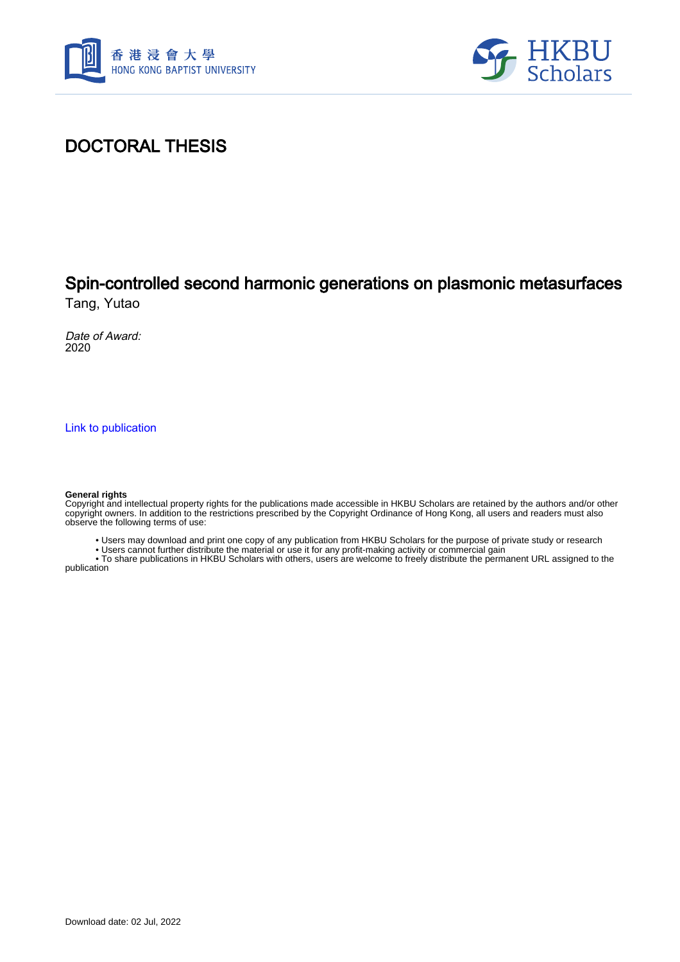



## DOCTORAL THESIS

# Spin-controlled second harmonic generations on plasmonic metasurfaces

Tang, Yutao

Date of Award: 2020

[Link to publication](https://scholars.hkbu.edu.hk/en/studentTheses/8362a902-49b9-44c4-9ce2-e24a6074075a)

#### **General rights**

Copyright and intellectual property rights for the publications made accessible in HKBU Scholars are retained by the authors and/or other copyright owners. In addition to the restrictions prescribed by the Copyright Ordinance of Hong Kong, all users and readers must also observe the following terms of use:

• Users may download and print one copy of any publication from HKBU Scholars for the purpose of private study or research

• Users cannot further distribute the material or use it for any profit-making activity or commercial gain

 • To share publications in HKBU Scholars with others, users are welcome to freely distribute the permanent URL assigned to the publication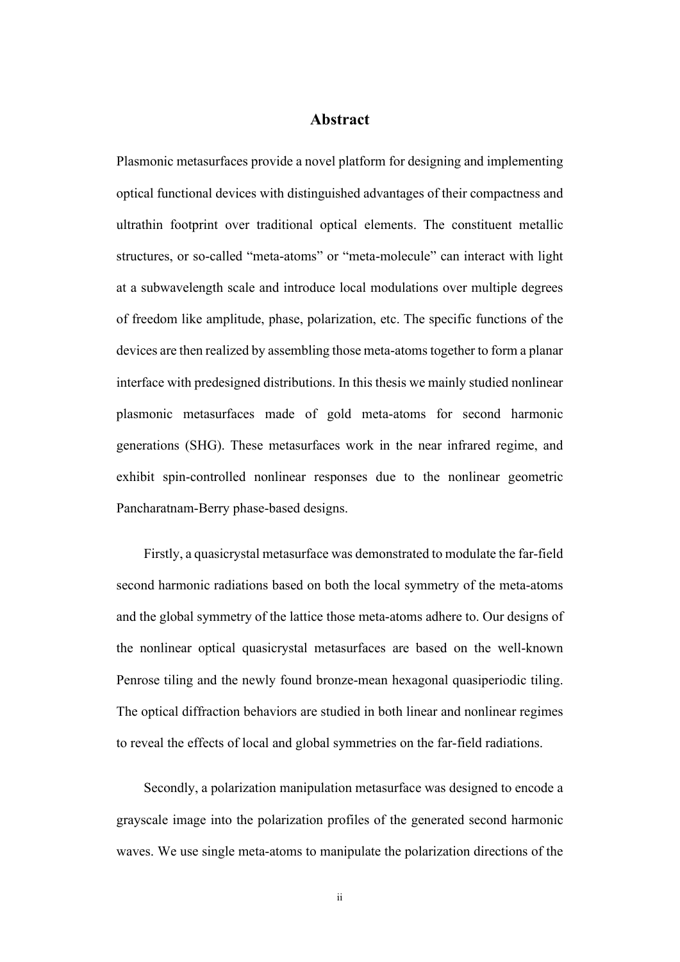### **Abstract**

<span id="page-1-0"></span>Plasmonic metasurfaces provide a novel platform for designing and implementing optical functional devices with distinguished advantages of their compactness and ultrathin footprint over traditional optical elements. The constituent metallic structures, or so-called "meta-atoms" or "meta-molecule" can interact with light at a subwavelength scale and introduce local modulations over multiple degrees of freedom like amplitude, phase, polarization, etc. The specific functions of the devices are then realized by assembling those meta-atoms together to form a planar interface with predesigned distributions. In this thesis we mainly studied nonlinear plasmonic metasurfaces made of gold meta-atoms for second harmonic generations (SHG). These metasurfaces work in the near infrared regime, and exhibit spin-controlled nonlinear responses due to the nonlinear geometric Pancharatnam-Berry phase-based designs.

Firstly, a quasicrystal metasurface was demonstrated to modulate the far-field second harmonic radiations based on both the local symmetry of the meta-atoms and the global symmetry of the lattice those meta-atoms adhere to. Our designs of the nonlinear optical quasicrystal metasurfaces are based on the well-known Penrose tiling and the newly found bronze-mean hexagonal quasiperiodic tiling. The optical diffraction behaviors are studied in both linear and nonlinear regimes to reveal the effects of local and global symmetries on the far-field radiations.

Secondly, a polarization manipulation metasurface was designed to encode a grayscale image into the polarization profiles of the generated second harmonic waves. We use single meta-atoms to manipulate the polarization directions of the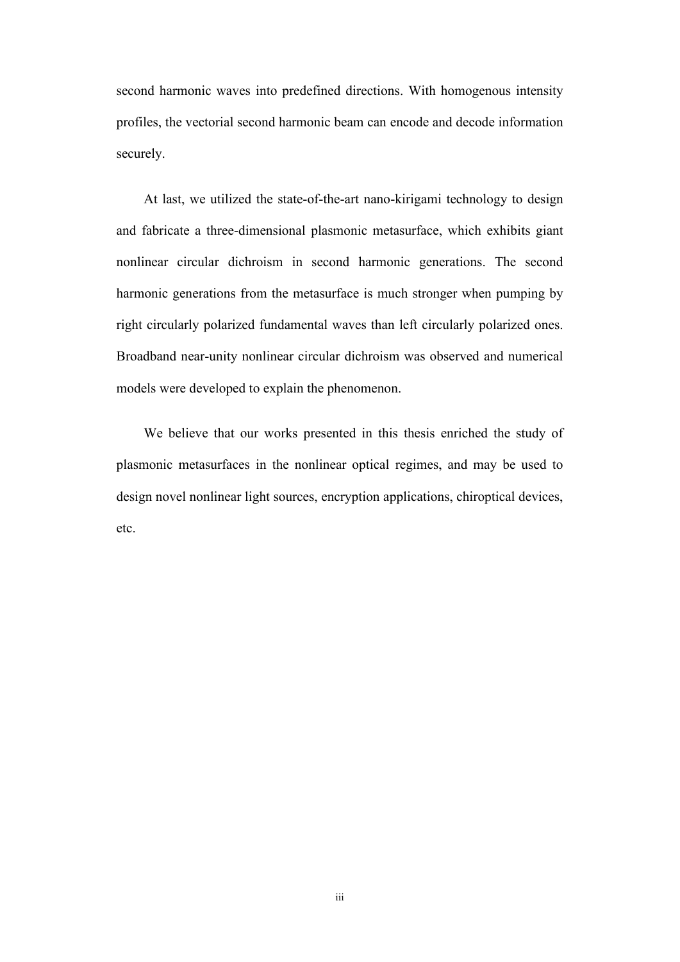second harmonic waves into predefined directions. With homogenous intensity profiles, the vectorial second harmonic beam can encode and decode information securely.

At last, we utilized the state-of-the-art nano-kirigami technology to design and fabricate a three-dimensional plasmonic metasurface, which exhibits giant nonlinear circular dichroism in second harmonic generations. The second harmonic generations from the metasurface is much stronger when pumping by right circularly polarized fundamental waves than left circularly polarized ones. Broadband near-unity nonlinear circular dichroism was observed and numerical models were developed to explain the phenomenon.

We believe that our works presented in this thesis enriched the study of plasmonic metasurfaces in the nonlinear optical regimes, and may be used to design novel nonlinear light sources, encryption applications, chiroptical devices, etc.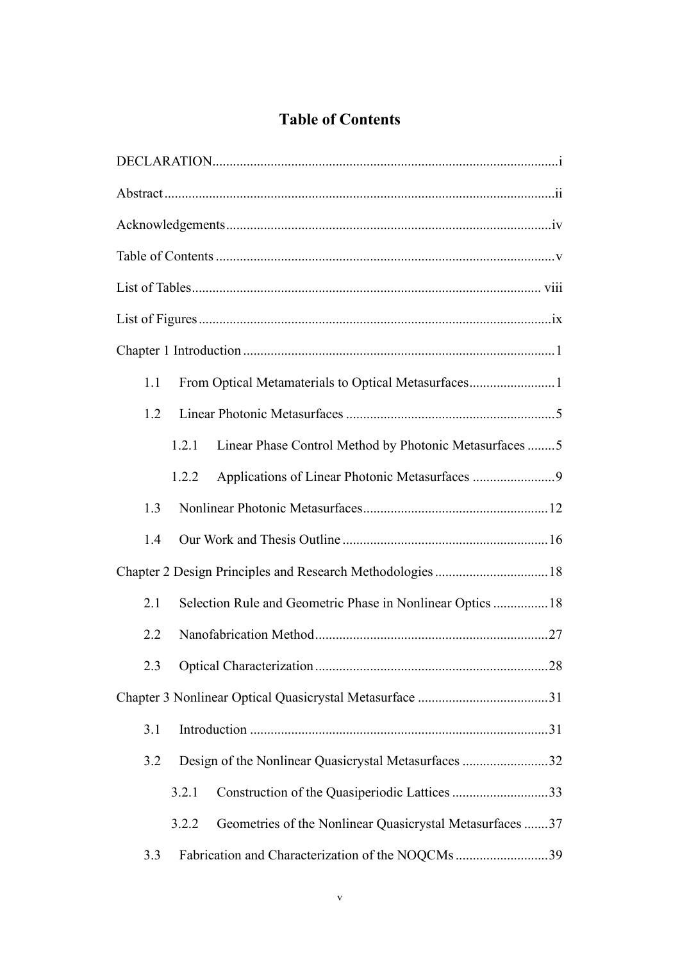## **Table of Contents**

<span id="page-3-0"></span>

| From Optical Metamaterials to Optical Metasurfaces1<br>1.1        |
|-------------------------------------------------------------------|
| 1.2                                                               |
| Linear Phase Control Method by Photonic Metasurfaces 5<br>1.2.1   |
| Applications of Linear Photonic Metasurfaces 9<br>1.2.2           |
| 1.3                                                               |
| 1.4                                                               |
| Chapter 2 Design Principles and Research Methodologies18          |
| Selection Rule and Geometric Phase in Nonlinear Optics  18<br>2.1 |
| 2.2                                                               |
|                                                                   |
|                                                                   |
| 3.1                                                               |
| Design of the Nonlinear Quasicrystal Metasurfaces 32<br>3.2       |
| Construction of the Quasiperiodic Lattices 33<br>3.2.1            |
| Geometries of the Nonlinear Quasicrystal Metasurfaces 37<br>3.2.2 |
| Fabrication and Characterization of the NOQCMs 39<br>3.3          |